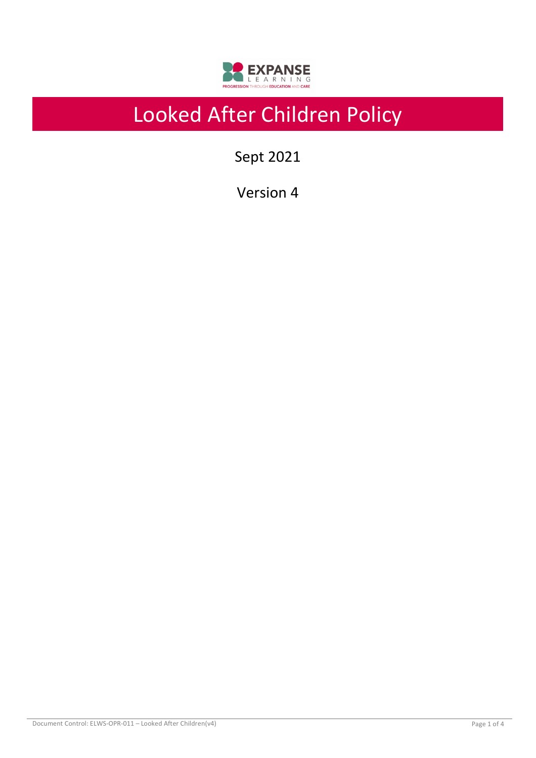

# Looked After Children Policy

Sept 2021

Version 4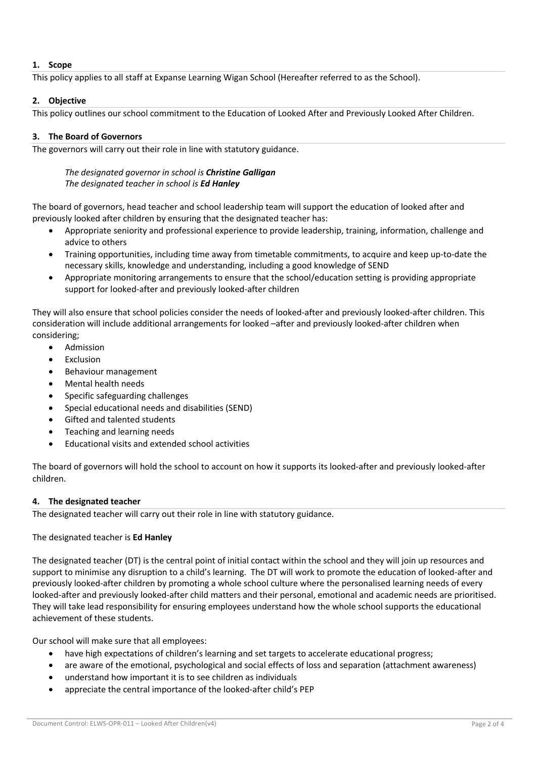# **1. Scope**

This policy applies to all staff at Expanse Learning Wigan School (Hereafter referred to as the School).

# **2. Objective**

This policy outlines our school commitment to the Education of Looked After and Previously Looked After Children.

# **3. The Board of Governors**

The governors will carry out their role in line with statutory guidance.

# *The designated governor in school is Christine Galligan The designated teacher in school is Ed Hanley*

The board of governors, head teacher and school leadership team will support the education of looked after and previously looked after children by ensuring that the designated teacher has:

- Appropriate seniority and professional experience to provide leadership, training, information, challenge and advice to others
- Training opportunities, including time away from timetable commitments, to acquire and keep up-to-date the necessary skills, knowledge and understanding, including a good knowledge of SEND
- Appropriate monitoring arrangements to ensure that the school/education setting is providing appropriate support for looked-after and previously looked-after children

They will also ensure that school policies consider the needs of looked-after and previously looked-after children. This consideration will include additional arrangements for looked –after and previously looked-after children when considering;

- Admission
- **Fxclusion**
- Behaviour management
- Mental health needs
- Specific safeguarding challenges
- Special educational needs and disabilities (SEND)
- Gifted and talented students
- Teaching and learning needs
- Educational visits and extended school activities

The board of governors will hold the school to account on how it supports its looked-after and previously looked-after children.

## **4. The designated teacher**

The designated teacher will carry out their role in line with statutory guidance.

## The designated teacher is **Ed Hanley**

The designated teacher (DT) is the central point of initial contact within the school and they will join up resources and support to minimise any disruption to a child's learning. The DT will work to promote the education of looked-after and previously looked-after children by promoting a whole school culture where the personalised learning needs of every looked-after and previously looked-after child matters and their personal, emotional and academic needs are prioritised. They will take lead responsibility for ensuring employees understand how the whole school supports the educational achievement of these students.

Our school will make sure that all employees:

- have high expectations of children's learning and set targets to accelerate educational progress;
- are aware of the emotional, psychological and social effects of loss and separation (attachment awareness)
- understand how important it is to see children as individuals
- appreciate the central importance of the looked-after child's PEP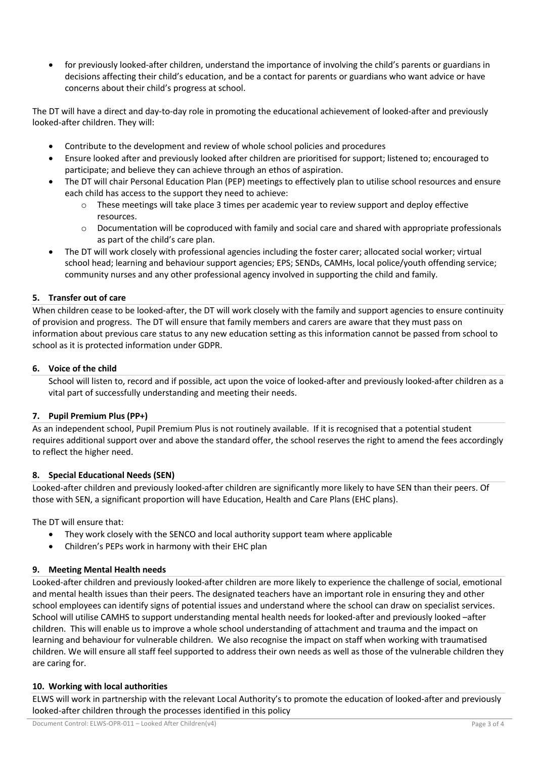• for previously looked-after children, understand the importance of involving the child's parents or guardians in decisions affecting their child's education, and be a contact for parents or guardians who want advice or have concerns about their child's progress at school.

The DT will have a direct and day-to-day role in promoting the educational achievement of looked-after and previously looked-after children. They will:

- Contribute to the development and review of whole school policies and procedures
- Ensure looked after and previously looked after children are prioritised for support; listened to; encouraged to participate; and believe they can achieve through an ethos of aspiration.
- The DT will chair Personal Education Plan (PEP) meetings to effectively plan to utilise school resources and ensure each child has access to the support they need to achieve:
	- $\circ$  These meetings will take place 3 times per academic year to review support and deploy effective resources.
	- o Documentation will be coproduced with family and social care and shared with appropriate professionals as part of the child's care plan.
- The DT will work closely with professional agencies including the foster carer; allocated social worker; virtual school head; learning and behaviour support agencies; EPS; SENDs, CAMHs, local police/youth offending service; community nurses and any other professional agency involved in supporting the child and family.

## **5. Transfer out of care**

When children cease to be looked-after, the DT will work closely with the family and support agencies to ensure continuity of provision and progress. The DT will ensure that family members and carers are aware that they must pass on information about previous care status to any new education setting as this information cannot be passed from school to school as it is protected information under GDPR.

## **6. Voice of the child**

School will listen to, record and if possible, act upon the voice of looked-after and previously looked-after children as a vital part of successfully understanding and meeting their needs.

## **7. Pupil Premium Plus (PP+)**

As an independent school, Pupil Premium Plus is not routinely available. If it is recognised that a potential student requires additional support over and above the standard offer, the school reserves the right to amend the fees accordingly to reflect the higher need.

## **8. Special Educational Needs (SEN)**

Looked-after children and previously looked-after children are significantly more likely to have SEN than their peers. Of those with SEN, a significant proportion will have Education, Health and Care Plans (EHC plans).

The DT will ensure that:

- They work closely with the SENCO and local authority support team where applicable
- Children's PEPs work in harmony with their EHC plan

## **9. Meeting Mental Health needs**

Looked-after children and previously looked-after children are more likely to experience the challenge of social, emotional and mental health issues than their peers. The designated teachers have an important role in ensuring they and other school employees can identify signs of potential issues and understand where the school can draw on specialist services. School will utilise CAMHS to support understanding mental health needs for looked-after and previously looked –after children. This will enable us to improve a whole school understanding of attachment and trauma and the impact on learning and behaviour for vulnerable children. We also recognise the impact on staff when working with traumatised children. We will ensure all staff feel supported to address their own needs as well as those of the vulnerable children they are caring for.

## **10. Working with local authorities**

ELWS will work in partnership with the relevant Local Authority's to promote the education of looked-after and previously looked-after children through the processes identified in this policy